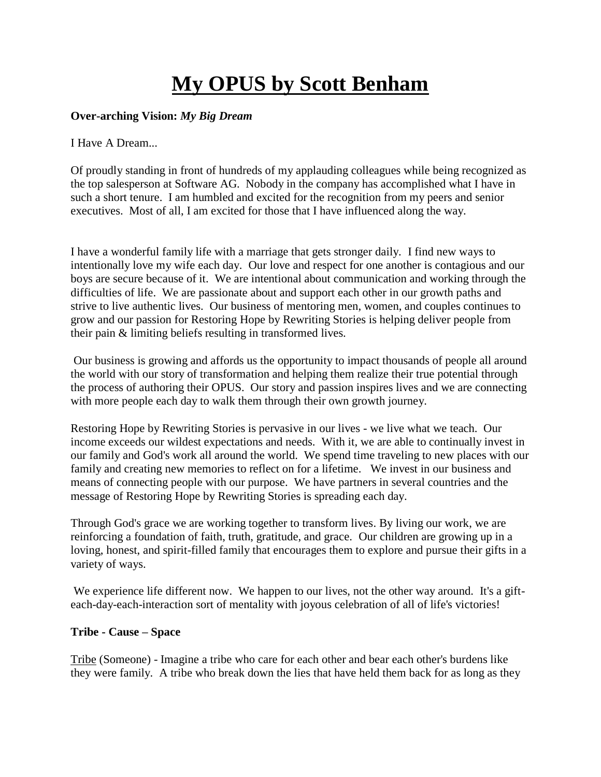# **My OPUS by Scott Benham**

## **Over-arching Vision:** *My Big Dream*

I Have A Dream...

Of proudly standing in front of hundreds of my applauding colleagues while being recognized as the top salesperson at Software AG. Nobody in the company has accomplished what I have in such a short tenure. I am humbled and excited for the recognition from my peers and senior executives. Most of all, I am excited for those that I have influenced along the way.

I have a wonderful family life with a marriage that gets stronger daily. I find new ways to intentionally love my wife each day. Our love and respect for one another is contagious and our boys are secure because of it. We are intentional about communication and working through the difficulties of life. We are passionate about and support each other in our growth paths and strive to live authentic lives. Our business of mentoring men, women, and couples continues to grow and our passion for Restoring Hope by Rewriting Stories is helping deliver people from their pain & limiting beliefs resulting in transformed lives.

Our business is growing and affords us the opportunity to impact thousands of people all around the world with our story of transformation and helping them realize their true potential through the process of authoring their OPUS. Our story and passion inspires lives and we are connecting with more people each day to walk them through their own growth journey.

Restoring Hope by Rewriting Stories is pervasive in our lives - we live what we teach. Our income exceeds our wildest expectations and needs. With it, we are able to continually invest in our family and God's work all around the world. We spend time traveling to new places with our family and creating new memories to reflect on for a lifetime. We invest in our business and means of connecting people with our purpose. We have partners in several countries and the message of Restoring Hope by Rewriting Stories is spreading each day.

Through God's grace we are working together to transform lives. By living our work, we are reinforcing a foundation of faith, truth, gratitude, and grace. Our children are growing up in a loving, honest, and spirit-filled family that encourages them to explore and pursue their gifts in a variety of ways.

We experience life different now. We happen to our lives, not the other way around. It's a gifteach-day-each-interaction sort of mentality with joyous celebration of all of life's victories!

## **Tribe - Cause – Space**

Tribe (Someone) - Imagine a tribe who care for each other and bear each other's burdens like they were family. A tribe who break down the lies that have held them back for as long as they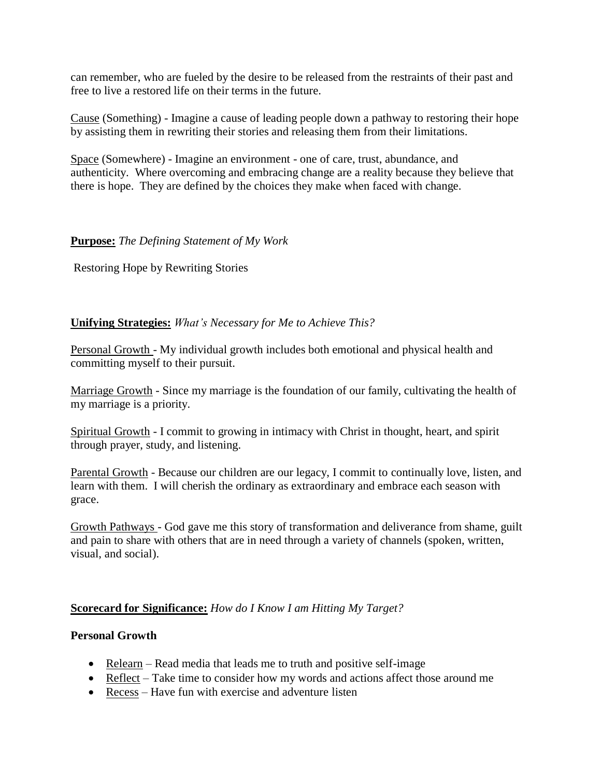can remember, who are fueled by the desire to be released from the restraints of their past and free to live a restored life on their terms in the future.

Cause (Something) - Imagine a cause of leading people down a pathway to restoring their hope by assisting them in rewriting their stories and releasing them from their limitations.

Space (Somewhere) - Imagine an environment - one of care, trust, abundance, and authenticity. Where overcoming and embracing change are a reality because they believe that there is hope. They are defined by the choices they make when faced with change.

## **Purpose:** *The Defining Statement of My Work*

Restoring Hope by Rewriting Stories

#### **Unifying Strategies:** *What's Necessary for Me to Achieve This?*

Personal Growth - My individual growth includes both emotional and physical health and committing myself to their pursuit.

Marriage Growth - Since my marriage is the foundation of our family, cultivating the health of my marriage is a priority.

Spiritual Growth - I commit to growing in intimacy with Christ in thought, heart, and spirit through prayer, study, and listening.

Parental Growth - Because our children are our legacy, I commit to continually love, listen, and learn with them. I will cherish the ordinary as extraordinary and embrace each season with grace.

Growth Pathways - God gave me this story of transformation and deliverance from shame, guilt and pain to share with others that are in need through a variety of channels (spoken, written, visual, and social).

#### **Scorecard for Significance:** *How do I Know I am Hitting My Target?*

#### **Personal Growth**

- Relearn Read media that leads me to truth and positive self-image
- Reflect Take time to consider how my words and actions affect those around me
- Recess Have fun with exercise and adventure listen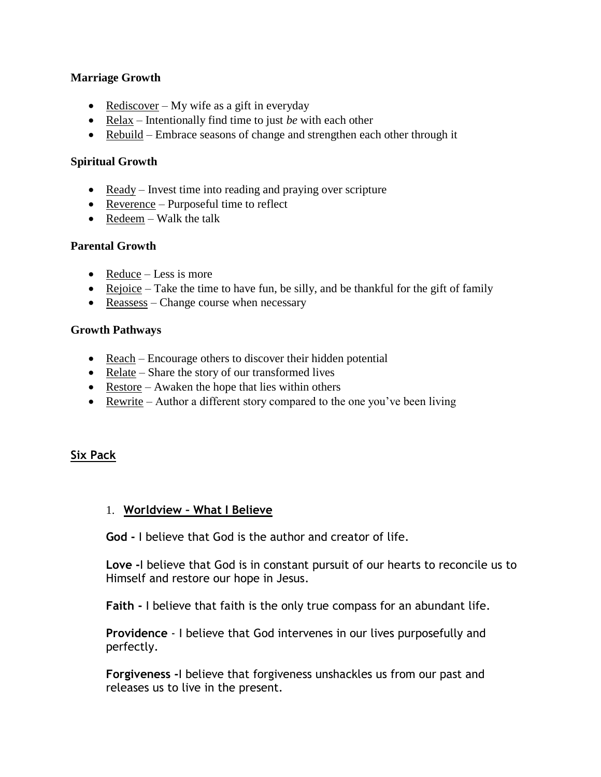#### **Marriage Growth**

- Rediscover My wife as a gift in everyday
- Relax Intentionally find time to just *be* with each other
- Rebuild Embrace seasons of change and strengthen each other through it

## **Spiritual Growth**

- Ready Invest time into reading and praying over scripture
- Reverence Purposeful time to reflect
- Redeem Walk the talk

## **Parental Growth**

- $\bullet$  Reduce Less is more
- Rejoice Take the time to have fun, be silly, and be thankful for the gift of family
- Reassess Change course when necessary

#### **Growth Pathways**

- Reach Encourage others to discover their hidden potential
- Relate Share the story of our transformed lives
- Restore Awaken the hope that lies within others
- Rewrite Author a different story compared to the one you've been living

# **Six Pack**

## 1. **Worldview – What I Believe**

**God -** I believe that God is the author and creator of life.

**Love -**I believe that God is in constant pursuit of our hearts to reconcile us to Himself and restore our hope in Jesus.

**Faith -** I believe that faith is the only true compass for an abundant life.

**Providence** - I believe that God intervenes in our lives purposefully and perfectly.

**Forgiveness -**I believe that forgiveness unshackles us from our past and releases us to live in the present.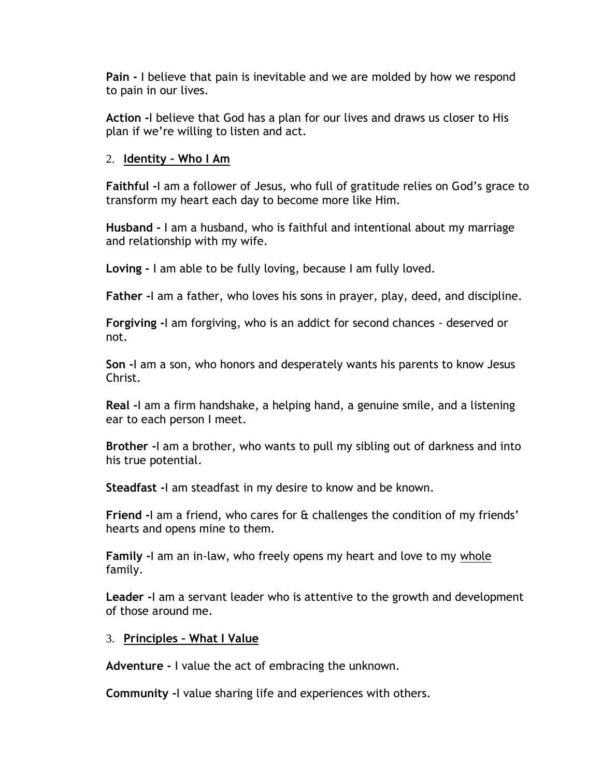**Pain -** I believe that pain is inevitable and we are molded by how we respond to pain in our lives.

**Action -**I believe that God has a plan for our lives and draws us closer to His plan if we're willing to listen and act.

# 2. **Identity – Who I Am**

**Faithful -**I am a follower of Jesus, who full of gratitude relies on God's grace to transform my heart each day to become more like Him.

**Husband -** I am a husband, who is faithful and intentional about my marriage and relationship with my wife.

**Loving -** I am able to be fully loving, because I am fully loved.

**Father -**I am a father, who loves his sons in prayer, play, deed, and discipline.

**Forgiving -**I am forgiving, who is an addict for second chances - deserved or not.

**Son -**I am a son, who honors and desperately wants his parents to know Jesus Christ.

**Real -**I am a firm handshake, a helping hand, a genuine smile, and a listening ear to each person I meet.

**Brother -**I am a brother, who wants to pull my sibling out of darkness and into his true potential.

**Steadfast -**I am steadfast in my desire to know and be known.

**Friend -**I am a friend, who cares for & challenges the condition of my friends' hearts and opens mine to them.

**Family -**I am an in-law, who freely opens my heart and love to my whole family.

**Leader -**I am a servant leader who is attentive to the growth and development of those around me.

# 3. **Principles – What I Value**

**Adventure -** I value the act of embracing the unknown.

**Community -**I value sharing life and experiences with others.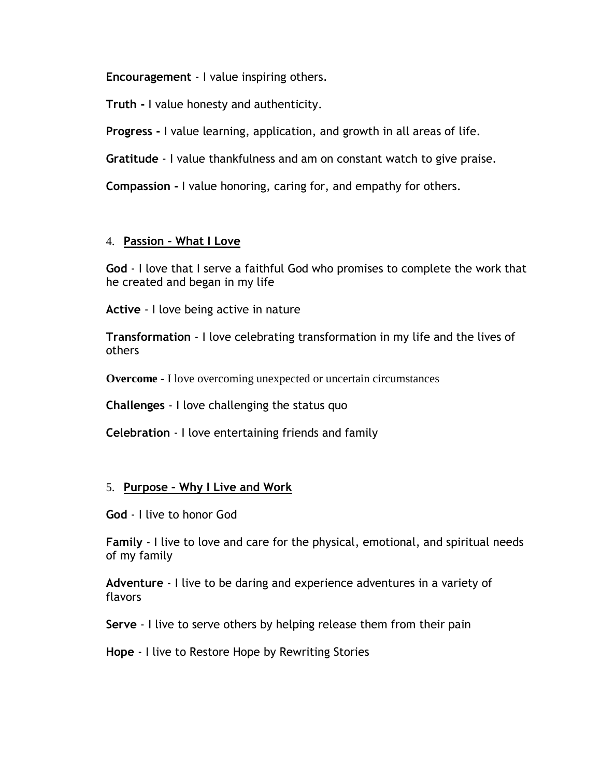**Encouragement** - I value inspiring others.

**Truth -** I value honesty and authenticity.

**Progress -** I value learning, application, and growth in all areas of life.

**Gratitude** - I value thankfulness and am on constant watch to give praise.

**Compassion -** I value honoring, caring for, and empathy for others.

# 4. **Passion – What I Love**

**God** - I love that I serve a faithful God who promises to complete the work that he created and began in my life

**Active** - I love being active in nature

**Transformation** - I love celebrating transformation in my life and the lives of others

**Overcome** - I love overcoming unexpected or uncertain circumstances

**Challenges** - I love challenging the status quo

**Celebration** - I love entertaining friends and family

## 5. **Purpose – Why I Live and Work**

**God** - I live to honor God

**Family** - I live to love and care for the physical, emotional, and spiritual needs of my family

**Adventure** - I live to be daring and experience adventures in a variety of flavors

**Serve** - I live to serve others by helping release them from their pain

**Hope** - I live to Restore Hope by Rewriting Stories